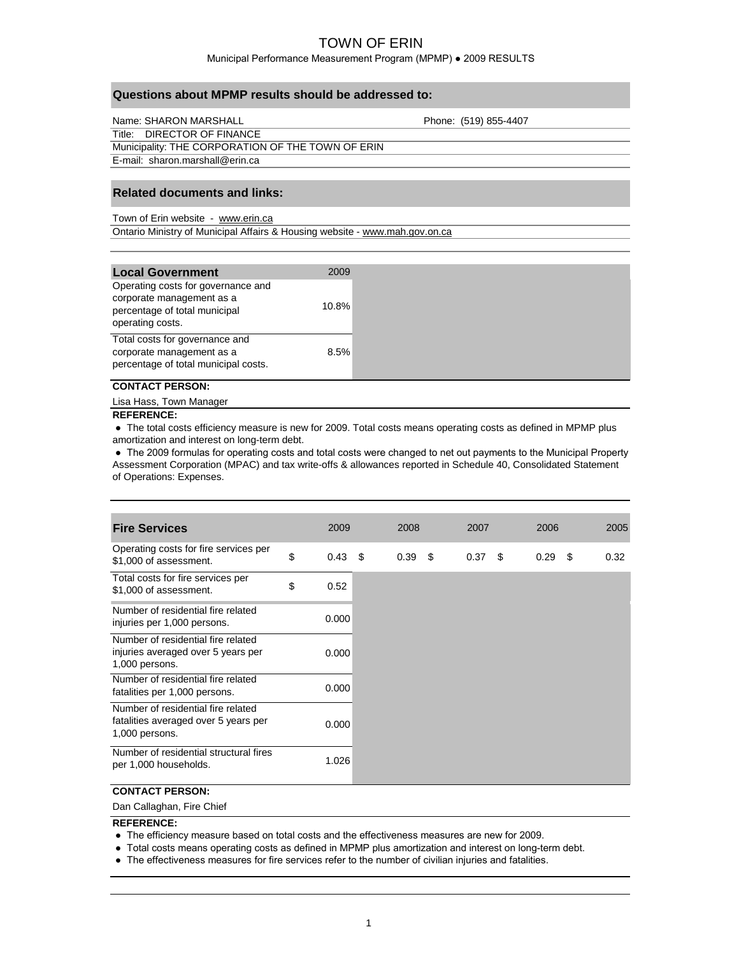Municipal Performance Measurement Program (MPMP) ● 2009 RESULTS

| Name: SHARON MARSHALL                             | Phone: (519) 855-4407 |
|---------------------------------------------------|-----------------------|
| Title: DIRECTOR OF FINANCE                        |                       |
| Municipality: THE CORPORATION OF THE TOWN OF ERIN |                       |
| E-mail: sharon.marshall@erin.ca                   |                       |

### **Related documents and links:**

Town of Erin website - www.erin.ca

Ontario Ministry of Municipal Affairs & Housing website - www.mah.gov.on.ca

| <b>Local Government</b>                                                                                              | 2009  |
|----------------------------------------------------------------------------------------------------------------------|-------|
| Operating costs for governance and<br>corporate management as a<br>percentage of total municipal<br>operating costs. | 10.8% |
| Total costs for governance and<br>corporate management as a<br>percentage of total municipal costs.                  | 8.5%  |

### **CONTACT PERSON:**

Lisa Hass, Town Manager

#### **REFERENCE:**

 **●** The total costs efficiency measure is new for 2009. Total costs means operating costs as defined in MPMP plus amortization and interest on long-term debt.

 ● The 2009 formulas for operating costs and total costs were changed to net out payments to the Municipal Property Assessment Corporation (MPAC) and tax write-offs & allowances reported in Schedule 40, Consolidated Statement of Operations: Expenses.

| <b>Fire Services</b>                                                                         | 2009                  | 2008 |      | 2007              | 2006 |      | 2005 |
|----------------------------------------------------------------------------------------------|-----------------------|------|------|-------------------|------|------|------|
| Operating costs for fire services per<br>\$1,000 of assessment.                              | \$<br>$0.43 \quad$ \$ | 0.39 | - \$ | 0.37 <sup>5</sup> | 0.29 | - \$ | 0.32 |
| Total costs for fire services per<br>\$1,000 of assessment.                                  | \$<br>0.52            |      |      |                   |      |      |      |
| Number of residential fire related<br>injuries per 1,000 persons.                            | 0.000                 |      |      |                   |      |      |      |
| Number of residential fire related<br>injuries averaged over 5 years per<br>1,000 persons.   | 0.000                 |      |      |                   |      |      |      |
| Number of residential fire related<br>fatalities per 1,000 persons.                          | 0.000                 |      |      |                   |      |      |      |
| Number of residential fire related<br>fatalities averaged over 5 years per<br>1,000 persons. | 0.000                 |      |      |                   |      |      |      |
| Number of residential structural fires<br>per 1,000 households.                              | 1.026                 |      |      |                   |      |      |      |

## **CONTACT PERSON:**

Dan Callaghan, Fire Chief

### **REFERENCE:**

- The efficiency measure based on total costs and the effectiveness measures are new for 2009.
- Total costs means operating costs as defined in MPMP plus amortization and interest on long-term debt.
- The effectiveness measures for fire services refer to the number of civilian injuries and fatalities.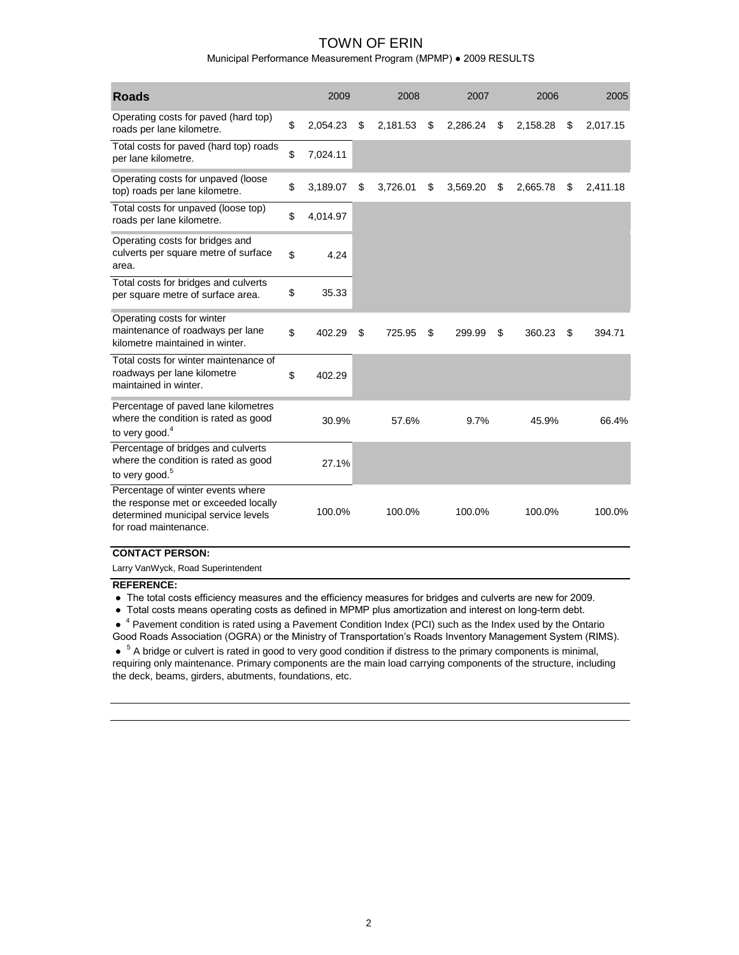Municipal Performance Measurement Program (MPMP) ● 2009 RESULTS

| <b>Roads</b>                                                                                                                              | 2009           | 2008           |    | 2007     |    | 2006     |    | 2005     |
|-------------------------------------------------------------------------------------------------------------------------------------------|----------------|----------------|----|----------|----|----------|----|----------|
| Operating costs for paved (hard top)<br>roads per lane kilometre.                                                                         | \$<br>2,054.23 | \$<br>2,181.53 | \$ | 2,286.24 | \$ | 2,158.28 | \$ | 2,017.15 |
| Total costs for paved (hard top) roads<br>per lane kilometre.                                                                             | \$<br>7,024.11 |                |    |          |    |          |    |          |
| Operating costs for unpaved (loose<br>top) roads per lane kilometre.                                                                      | \$<br>3,189.07 | \$<br>3,726.01 | \$ | 3,569.20 | \$ | 2,665.78 | \$ | 2,411.18 |
| Total costs for unpaved (loose top)<br>roads per lane kilometre.                                                                          | \$<br>4,014.97 |                |    |          |    |          |    |          |
| Operating costs for bridges and<br>culverts per square metre of surface<br>area.                                                          | \$<br>4.24     |                |    |          |    |          |    |          |
| Total costs for bridges and culverts<br>per square metre of surface area.                                                                 | \$<br>35.33    |                |    |          |    |          |    |          |
| Operating costs for winter<br>maintenance of roadways per lane<br>kilometre maintained in winter.                                         | \$<br>402.29   | \$<br>725.95   | \$ | 299.99   | \$ | 360.23   | \$ | 394.71   |
| Total costs for winter maintenance of<br>roadways per lane kilometre<br>maintained in winter.                                             | \$<br>402.29   |                |    |          |    |          |    |          |
| Percentage of paved lane kilometres<br>where the condition is rated as good<br>to very good. <sup>4</sup>                                 | 30.9%          | 57.6%          |    | 9.7%     |    | 45.9%    |    | 66.4%    |
| Percentage of bridges and culverts<br>where the condition is rated as good<br>to very good. <sup>5</sup>                                  | 27.1%          |                |    |          |    |          |    |          |
| Percentage of winter events where<br>the response met or exceeded locally<br>determined municipal service levels<br>for road maintenance. | 100.0%         | 100.0%         |    | 100.0%   |    | 100.0%   |    | 100.0%   |

#### **CONTACT PERSON:**

Larry VanWyck, Road Superintendent

#### **REFERENCE:**

● The total costs efficiency measures and the efficiency measures for bridges and culverts are new for 2009.

● Total costs means operating costs as defined in MPMP plus amortization and interest on long-term debt.

● <sup>4</sup> Pavement condition is rated using a Pavement Condition Index (PCI) such as the Index used by the Ontario Good Roads Association (OGRA) or the Ministry of Transportation's Roads Inventory Management System (RIMS).

• <sup>5</sup> A bridge or culvert is rated in good to very good condition if distress to the primary components is minimal, requiring only maintenance. Primary components are the main load carrying components of the structure, including the deck, beams, girders, abutments, foundations, etc.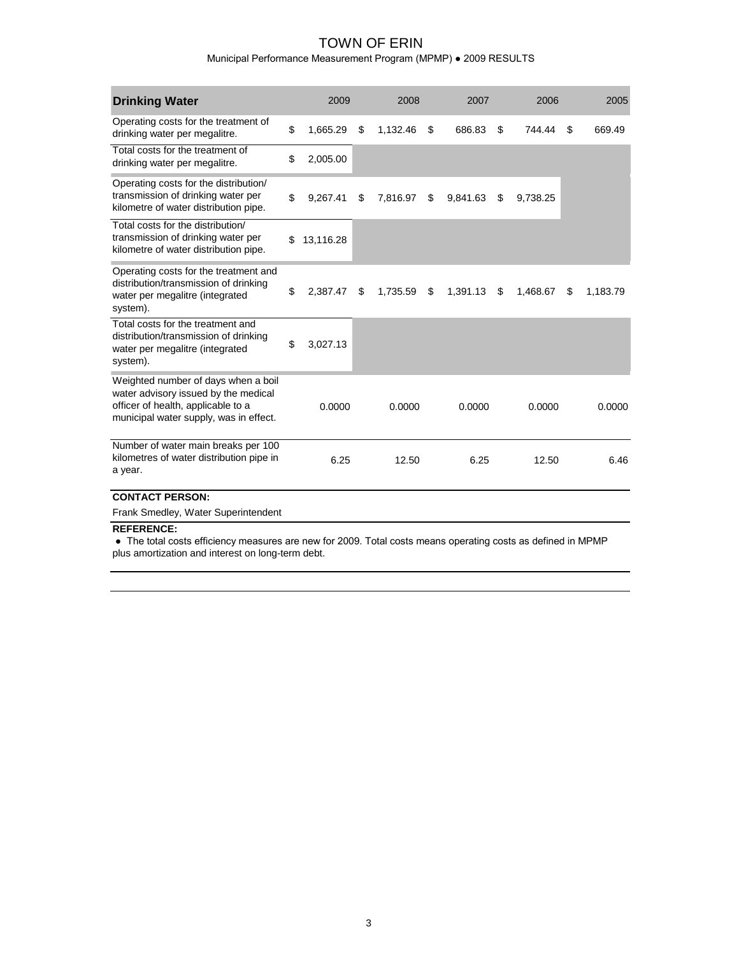Municipal Performance Measurement Program (MPMP) ● 2009 RESULTS

| <b>Drinking Water</b>                                                                                                                                       | 2009            | 2008<br>2007   |    | 2006     |                | 2005 |          |
|-------------------------------------------------------------------------------------------------------------------------------------------------------------|-----------------|----------------|----|----------|----------------|------|----------|
| Operating costs for the treatment of<br>drinking water per megalitre.                                                                                       | \$<br>1,665.29  | \$<br>1,132.46 | \$ | 686.83   | \$<br>744.44   | \$   | 669.49   |
| Total costs for the treatment of<br>drinking water per megalitre.                                                                                           | \$<br>2,005.00  |                |    |          |                |      |          |
| Operating costs for the distribution/<br>transmission of drinking water per<br>kilometre of water distribution pipe.                                        | \$<br>9.267.41  | \$<br>7.816.97 | \$ | 9,841.63 | \$<br>9,738.25 |      |          |
| Total costs for the distribution/<br>transmission of drinking water per<br>kilometre of water distribution pipe.                                            | \$<br>13,116.28 |                |    |          |                |      |          |
| Operating costs for the treatment and<br>distribution/transmission of drinking<br>water per megalitre (integrated<br>system).                               | \$<br>2,387.47  | \$<br>1,735.59 | \$ | 1,391.13 | \$<br>1,468.67 | \$   | 1,183.79 |
| Total costs for the treatment and<br>distribution/transmission of drinking<br>water per megalitre (integrated<br>system).                                   | \$<br>3,027.13  |                |    |          |                |      |          |
| Weighted number of days when a boil<br>water advisory issued by the medical<br>officer of health, applicable to a<br>municipal water supply, was in effect. | 0.0000          | 0.0000         |    | 0.0000   | 0.0000         |      | 0.0000   |
| Number of water main breaks per 100<br>kilometres of water distribution pipe in<br>a year.                                                                  | 6.25            | 12.50          |    | 6.25     | 12.50          |      | 6.46     |
| <b>CONTACT PERSON:</b>                                                                                                                                      |                 |                |    |          |                |      |          |
| Frank Smedley, Water Superintendent                                                                                                                         |                 |                |    |          |                |      |          |

#### **REFERENCE:**

 ● The total costs efficiency measures are new for 2009. Total costs means operating costs as defined in MPMP plus amortization and interest on long-term debt.